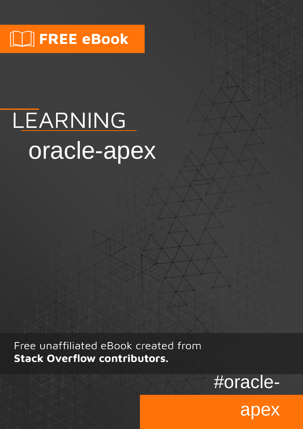# $\lfloor \rfloor$  FREE eBook

# LEARNING oracle-apex

Free unaffiliated eBook created from **Stack Overflow contributors.** 

#oracle-

apex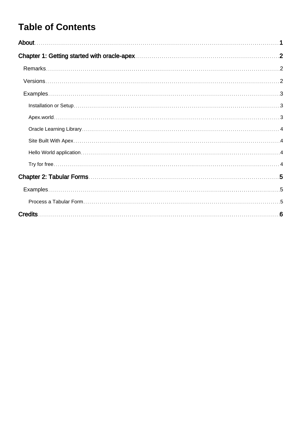## **Table of Contents**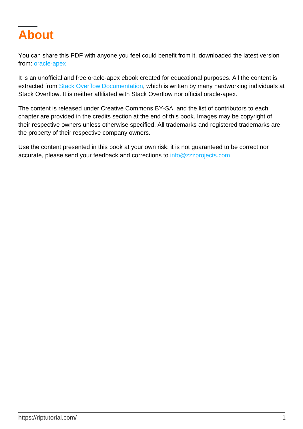<span id="page-2-0"></span>

You can share this PDF with anyone you feel could benefit from it, downloaded the latest version from: [oracle-apex](http://riptutorial.com/ebook/oracle-apex)

It is an unofficial and free oracle-apex ebook created for educational purposes. All the content is extracted from [Stack Overflow Documentation,](https://archive.org/details/documentation-dump.7z) which is written by many hardworking individuals at Stack Overflow. It is neither affiliated with Stack Overflow nor official oracle-apex.

The content is released under Creative Commons BY-SA, and the list of contributors to each chapter are provided in the credits section at the end of this book. Images may be copyright of their respective owners unless otherwise specified. All trademarks and registered trademarks are the property of their respective company owners.

Use the content presented in this book at your own risk; it is not guaranteed to be correct nor accurate, please send your feedback and corrections to [info@zzzprojects.com](mailto:info@zzzprojects.com)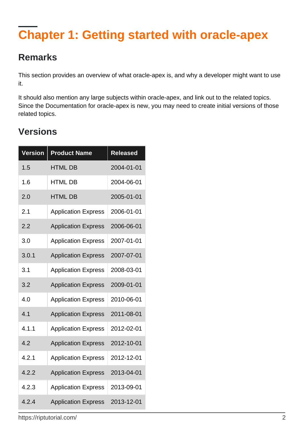# <span id="page-3-0"></span>**Chapter 1: Getting started with oracle-apex**

## <span id="page-3-1"></span>**Remarks**

This section provides an overview of what oracle-apex is, and why a developer might want to use it.

It should also mention any large subjects within oracle-apex, and link out to the related topics. Since the Documentation for oracle-apex is new, you may need to create initial versions of those related topics.

## <span id="page-3-2"></span>**Versions**

| <b>Version</b> | <b>Product Name</b>        | <b>Released</b> |
|----------------|----------------------------|-----------------|
| 1.5            | <b>HTML DB</b>             | 2004-01-01      |
| 1.6            | <b>HTML DB</b>             | 2004-06-01      |
| 2.0            | <b>HTML DB</b>             | 2005-01-01      |
| 2.1            | <b>Application Express</b> | 2006-01-01      |
| 2.2            | <b>Application Express</b> | 2006-06-01      |
| 3.0            | <b>Application Express</b> | 2007-01-01      |
| 3.0.1          | <b>Application Express</b> | 2007-07-01      |
| 3.1            | <b>Application Express</b> | 2008-03-01      |
| 3.2            | <b>Application Express</b> | 2009-01-01      |
| 4.0            | <b>Application Express</b> | 2010-06-01      |
| 4.1            | <b>Application Express</b> | 2011-08-01      |
| 4.1.1          | <b>Application Express</b> | 2012-02-01      |
| 4.2            | <b>Application Express</b> | 2012-10-01      |
| 4.2.1          | <b>Application Express</b> | 2012-12-01      |
| 4.2.2          | <b>Application Express</b> | 2013-04-01      |
| 4.2.3          | <b>Application Express</b> | 2013-09-01      |
| 4.2.4          | <b>Application Express</b> | 2013-12-01      |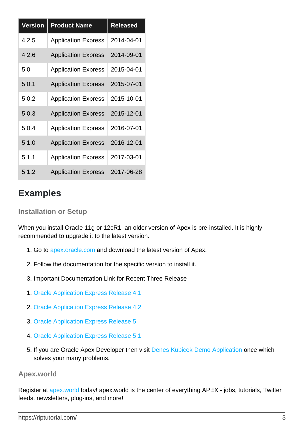| <b>Version</b> | <b>Product Name</b>        | <b>Released</b> |
|----------------|----------------------------|-----------------|
| 4.2.5          | <b>Application Express</b> | 2014-04-01      |
| 4.2.6          | <b>Application Express</b> | 2014-09-01      |
| 5.0            | <b>Application Express</b> | 2015-04-01      |
| 5.0.1          | <b>Application Express</b> | 2015-07-01      |
| 5.0.2          | <b>Application Express</b> | 2015-10-01      |
| 5.0.3          | <b>Application Express</b> | 2015-12-01      |
| 5.0.4          | <b>Application Express</b> | 2016-07-01      |
| 5.1.0          | <b>Application Express</b> | 2016-12-01      |
| 5.1.1          | <b>Application Express</b> | 2017-03-01      |
| 5.1.2          | <b>Application Express</b> | 2017-06-28      |

## <span id="page-4-0"></span>**Examples**

#### <span id="page-4-1"></span>**Installation or Setup**

When you install Oracle 11g or 12cR1, an older version of Apex is pre-installed. It is highly recommended to upgrade it to the latest version.

- 1. Go to [apex.oracle.com](https://apex.oracle.com) and download the latest version of Apex.
- 2. Follow the documentation for the specific version to install it.
- 3. Important Documentation Link for Recent Three Release
- 1. [Oracle Application Express Release 4.1](https://docs.oracle.com/cd/E23903_01/)
- 2. [Oracle Application Express Release 4.2](https://docs.oracle.com/cd/E37097_01/)
- 3. [Oracle Application Express Release 5](https://docs.oracle.com/cd/E59726_01/)
- 4. [Oracle Application Express Release 5.1](http://docs.oracle.com/database/apex-5.1/index.htm)
- 5. If you are Oracle Apex Developer then visit [Denes Kubicek Demo Application](https://apex.oracle.com/pls/otn/f?p=31517:101:103421273089966:::::) once which solves your many problems.

#### <span id="page-4-2"></span>**Apex.world**

Register at [apex.world](https://apex.world/ords/f?p=APEX_WORLD:HOME) today! apex.world is the center of everything APEX - jobs, tutorials, Twitter feeds, newsletters, plug-ins, and more!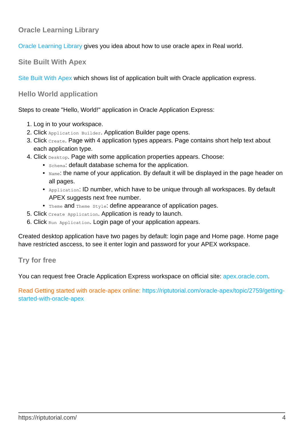#### <span id="page-5-0"></span>**Oracle Learning Library**

<span id="page-5-1"></span>[Oracle Learning Library](https://apexapps.oracle.com/pls/apex/f?p=44785:1:0) gives you idea about how to use oracle apex in Real world.

**Site Built With Apex**

[Site Built With Apex](https://www.builtwithapex.com/ords/f?p=BWA:LIST) which shows list of application built with Oracle application express.

<span id="page-5-2"></span>**Hello World application**

Steps to create "Hello, World!" application in Oracle Application Express:

- 1. Log in to your workspace.
- 2. Click Application Builder. Application Builder page opens.
- 3. Click Create. Page with 4 application types appears. Page contains short help text about each application type.
- 4. Click Desktop. Page with some application properties appears. Choose:
	- Schema: default database schema for the application.
	- $\bullet$   $_{\text{Name}}$ : the name of your application. By default it will be displayed in the page header on all pages.
	- $_{\text{Application: ID number, which have to be unique through all workspaces. By default}$ APEX suggests next free number.
	- Theme and Theme Style: define appearance of application pages.
- 5. Click Create Application. Application is ready to launch.
- 6. Click Run Application. Login page of your application appears.

Created desktop application have two pages by default: login page and Home page. Home page have restricted asccess, to see it enter login and password for your APEX workspace.

#### <span id="page-5-3"></span>**Try for free**

You can request free Oracle Application Express workspace on official site: [apex.oracle.com](https://apex.oracle.com/en/).

Read Getting started with oracle-apex online: [https://riptutorial.com/oracle-apex/topic/2759/getting](https://riptutorial.com/oracle-apex/topic/2759/getting-started-with-oracle-apex)[started-with-oracle-apex](https://riptutorial.com/oracle-apex/topic/2759/getting-started-with-oracle-apex)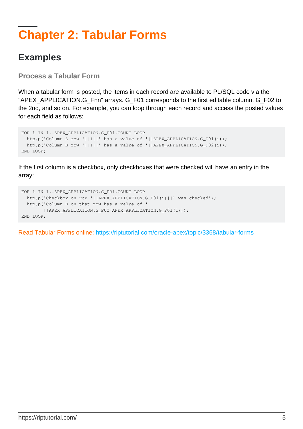# <span id="page-6-0"></span>**Chapter 2: Tabular Forms**

### <span id="page-6-1"></span>**Examples**

<span id="page-6-2"></span>**Process a Tabular Form**

When a tabular form is posted, the items in each record are available to PL/SQL code via the "APEX\_APPLICATION.G\_Fnn" arrays. G\_F01 corresponds to the first editable column, G\_F02 to the 2nd, and so on. For example, you can loop through each record and access the posted values for each field as follows:

```
FOR i IN 1..APEX_APPLICATION.G_F01.COUNT LOOP
 htp.p('Column A row '||I||' has a value of '||APEX_APPLICATION.G_F01(i));
 htp.p('Column B row '||I||' has a value of '||APEX_APPLICATION.G_F02(i));
END LOOP;
```
If the first column is a checkbox, only checkboxes that were checked will have an entry in the array:

```
FOR i IN 1..APEX_APPLICATION.G_F01.COUNT LOOP
  htp.p('Checkbox on row '||APEX_APPLICATION.G_F01(i)||' was checked');
  htp.p('Column B on that row has a value of '
        ||APEX_APPLICATION.G_F02(APEX_APPLICATION.G_F01(i)));
END LOOP;
```
Read Tabular Forms online:<https://riptutorial.com/oracle-apex/topic/3368/tabular-forms>